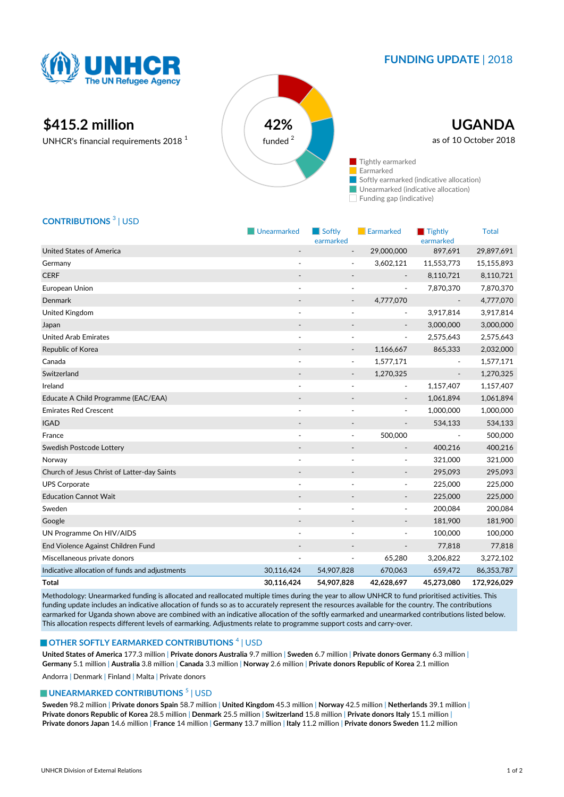

## **FUNDING UPDATE** | 2018

Earmarked Tightly

# **\$415.2 million 42%**

UNHCR's financial requirements 2018 <sup>1</sup>



### **CONTRIBUTIONS** <sup>3</sup> | USD

|                                                | Unearmarked              | Softly<br>earmarked      | Earmarked                | Tightly<br>earmarked | <b>Total</b> |
|------------------------------------------------|--------------------------|--------------------------|--------------------------|----------------------|--------------|
| <b>United States of America</b>                |                          |                          | 29,000,000               | 897,691              | 29,897,691   |
| Germany                                        |                          |                          | 3,602,121                | 11,553,773           | 15,155,893   |
| <b>CERF</b>                                    |                          |                          |                          | 8,110,721            | 8,110,721    |
| European Union                                 | $\overline{\phantom{a}}$ | $\tilde{\phantom{a}}$    | $\overline{\phantom{a}}$ | 7,870,370            | 7,870,370    |
| Denmark                                        |                          | $\overline{\phantom{a}}$ | 4,777,070                |                      | 4,777,070    |
| United Kingdom                                 | $\overline{\phantom{a}}$ |                          | $\overline{\phantom{0}}$ | 3,917,814            | 3,917,814    |
| Japan                                          |                          |                          |                          | 3,000,000            | 3,000,000    |
| <b>United Arab Emirates</b>                    | ÷,                       | ٠                        | $\overline{\phantom{a}}$ | 2,575,643            | 2,575,643    |
| Republic of Korea                              |                          |                          | 1,166,667                | 865,333              | 2,032,000    |
| Canada                                         |                          | $\overline{\phantom{a}}$ | 1,577,171                |                      | 1,577,171    |
| Switzerland                                    |                          |                          | 1,270,325                |                      | 1,270,325    |
| Ireland                                        |                          |                          | $\blacksquare$           | 1,157,407            | 1,157,407    |
| Educate A Child Programme (EAC/EAA)            |                          |                          | $\overline{\phantom{m}}$ | 1,061,894            | 1,061,894    |
| <b>Emirates Red Crescent</b>                   |                          |                          | ٠                        | 1,000,000            | 1,000,000    |
| <b>IGAD</b>                                    | $\overline{\phantom{m}}$ |                          | $\centerdot$             | 534,133              | 534,133      |
| France                                         |                          | $\overline{a}$           | 500,000                  |                      | 500,000      |
| Swedish Postcode Lottery                       |                          | $\overline{\phantom{a}}$ | $\overline{\phantom{a}}$ | 400,216              | 400,216      |
| Norway                                         | $\overline{a}$           |                          | $\overline{\phantom{a}}$ | 321,000              | 321,000      |
| Church of Jesus Christ of Latter-day Saints    | $\overline{\phantom{a}}$ |                          | $\overline{\phantom{a}}$ | 295,093              | 295,093      |
| <b>UPS Corporate</b>                           |                          |                          | $\overline{\phantom{a}}$ | 225,000              | 225,000      |
| <b>Education Cannot Wait</b>                   |                          |                          | $\overline{\phantom{a}}$ | 225,000              | 225,000      |
| Sweden                                         | ٠                        |                          | $\overline{\phantom{0}}$ | 200,084              | 200,084      |
| Google                                         |                          |                          | $\overline{\phantom{a}}$ | 181,900              | 181,900      |
| UN Programme On HIV/AIDS                       |                          |                          | ٠                        | 100,000              | 100,000      |
| End Violence Against Children Fund             |                          |                          | $\overline{a}$           | 77,818               | 77,818       |
| Miscellaneous private donors                   |                          |                          | 65,280                   | 3,206,822            | 3,272,102    |
| Indicative allocation of funds and adjustments | 30,116,424               | 54,907,828               | 670,063                  | 659,472              | 86,353,787   |
| <b>Total</b>                                   | 30,116,424               | 54,907,828               | 42,628,697               | 45,273,080           | 172,926,029  |

Methodology: Unearmarked funding is allocated and reallocated multiple times during the year to allow UNHCR to fund prioritised activities. This funding update includes an indicative allocation of funds so as to accurately represent the resources available for the country. The contributions earmarked for Uganda shown above are combined with an indicative allocation of the softly earmarked and unearmarked contributions listed below. This allocation respects different levels of earmarking. Adjustments relate to programme support costs and carry-over.

#### **OTHER SOFTLY EARMARKED CONTRIBUTIONS**  $^4$  | USD

**United States of America** 177.3 million | **Private donors Australia** 9.7 million | **Sweden** 6.7 million | **Private donors Germany** 6.3 million | **Germany** 5.1 million | **Australia** 3.8 million | **Canada** 3.3 million | **Norway** 2.6 million | **Private donors Republic of Korea** 2.1 million

Andorra | Denmark | Finland | Malta | Private donors

#### **UNEARMARKED CONTRIBUTIONS<sup>5</sup> | USD**

**Sweden** 98.2 million | **Private donors Spain** 58.7 million | **United Kingdom** 45.3 million | **Norway** 42.5 million | **Netherlands** 39.1 million | **Private donors Republic of Korea** 28.5 million | **Denmark** 25.5 million | **Switzerland** 15.8 million | **Private donors Italy** 15.1 million | **Private donors Japan** 14.6 million | **France** 14 million | **Germany** 13.7 million | **Italy** 11.2 million | **Private donors Sweden** 11.2 million